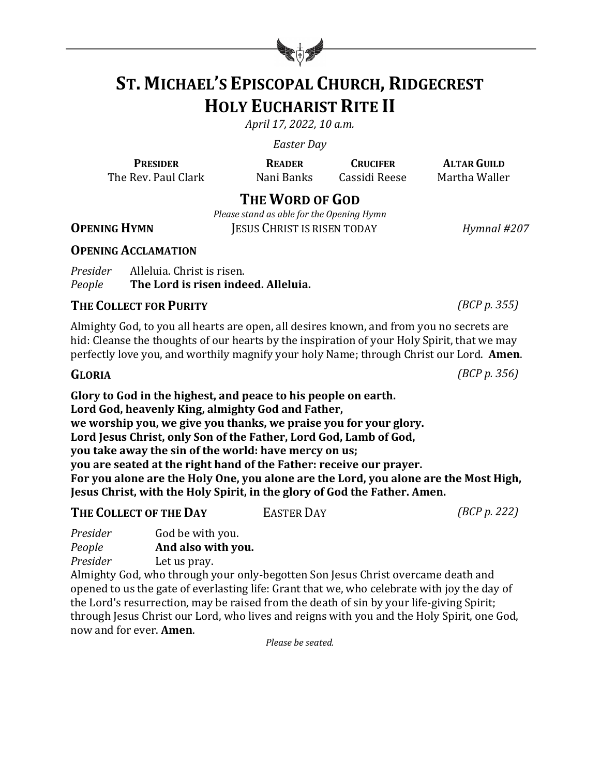

# **ST. MICHAEL'S EPISCOPAL CHURCH, RIDGECREST HOLY EUCHARIST RITE II**

*April 17, 2022, 10 a.m.*

*Easter Day*

**PRESIDER READER CRUCIFER ALTAR GUILD** The Rev. Paul Clark Mani Banks Cassidi Reese Martha Waller

# **THE WORD OF GOD**

*Please stand as able for the Opening Hymn* 

**OPENING HYMN JESUS CHRIST IS RISEN TODAY** *Hymnal* #207

## **OPENING ACCLAMATION**

*Presider* Alleluia. Christ is risen. *People* The Lord is risen indeed. Alleluia.

## **THE COLLECT FOR PURITY** *(BCP p. 355)*

Almighty God, to you all hearts are open, all desires known, and from you no secrets are hid: Cleanse the thoughts of our hearts by the inspiration of your Holy Spirit, that we may perfectly love you, and worthily magnify your holy Name; through Christ our Lord. **Amen.** 

## **GLORIA** *(BCP p. 356)*

Glory to God in the highest, and peace to his people on earth. Lord God, heavenly King, almighty God and Father, we worship you, we give you thanks, we praise you for your glory. Lord Jesus Christ, only Son of the Father, Lord God, Lamb of God, **you take away the sin of the world: have mercy on us; you are seated at the right hand of the Father: receive our prayer.** For you alone are the Holy One, you alone are the Lord, you alone are the Most High, **Jesus Christ, with the Holy Spirit, in the glory of God the Father. Amen.** 

# **THE COLLECT OF THE DAY** EASTER DAY *EASTER COLLECT OF THE DAY EASTER DAY*

*Presider* **God be with you.** *People* **And also with you.** 

*Presider* Let us pray.

Almighty God, who through your only-begotten Son Jesus Christ overcame death and opened to us the gate of everlasting life: Grant that we, who celebrate with joy the day of the Lord's resurrection, may be raised from the death of sin by your life-giving Spirit; through Jesus Christ our Lord, who lives and reigns with you and the Holy Spirit, one God, now and for ever. **Amen**.

*Please be seated.*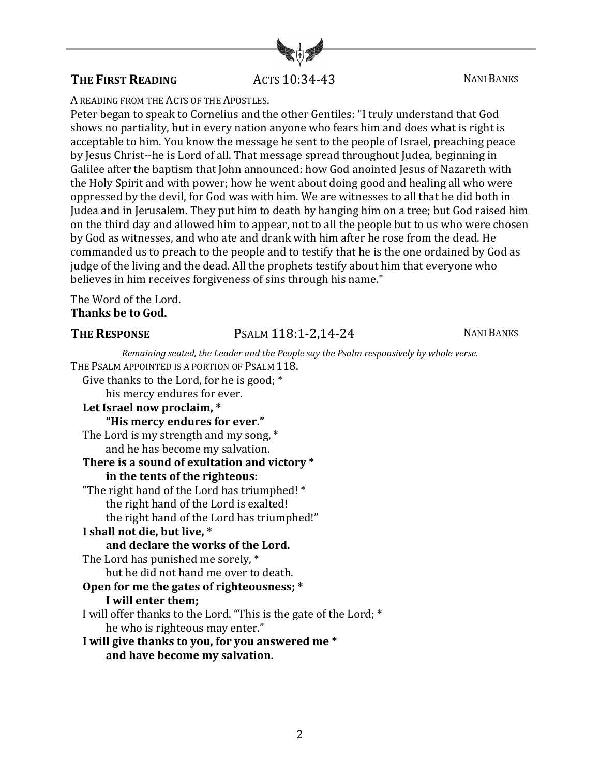# **THE FIRST READING** ACTS 10:34-43 NANI BANKS

#### A READING FROM THE ACTS OF THE APOSTLES.

Peter began to speak to Cornelius and the other Gentiles: "I truly understand that God shows no partiality, but in every nation anyone who fears him and does what is right is acceptable to him. You know the message he sent to the people of Israel, preaching peace by Jesus Christ--he is Lord of all. That message spread throughout Judea, beginning in Galilee after the baptism that John announced: how God anointed Jesus of Nazareth with the Holy Spirit and with power; how he went about doing good and healing all who were oppressed by the devil, for God was with him. We are witnesses to all that he did both in Judea and in Jerusalem. They put him to death by hanging him on a tree; but God raised him on the third day and allowed him to appear, not to all the people but to us who were chosen by God as witnesses, and who ate and drank with him after he rose from the dead. He commanded us to preach to the people and to testify that he is the one ordained by God as judge of the living and the dead. All the prophets testify about him that everyone who believes in him receives forgiveness of sins through his name."

The Word of the Lord. Thanks be to God.

# **THE RESPONSE** PSALM 118:1-2,14-24 NANI BANKS

| Remaining seated, the Leader and the People say the Psalm responsively by whole verse. |
|----------------------------------------------------------------------------------------|
| THE PSALM APPOINTED IS A PORTION OF PSALM 118.                                         |
| Give thanks to the Lord, for he is good; $*$                                           |
| his mercy endures for ever.                                                            |
| Let Israel now proclaim, *                                                             |
| "His mercy endures for ever."                                                          |
| The Lord is my strength and my song, *                                                 |
| and he has become my salvation.                                                        |
| There is a sound of exultation and victory *                                           |
| in the tents of the righteous:                                                         |
| "The right hand of the Lord has triumphed! *                                           |
| the right hand of the Lord is exalted!                                                 |
| the right hand of the Lord has triumphed!"                                             |
| I shall not die, but live, *                                                           |
| and declare the works of the Lord.                                                     |
| The Lord has punished me sorely, *                                                     |
| but he did not hand me over to death.                                                  |
| Open for me the gates of righteousness; *                                              |
| I will enter them;                                                                     |
| I will offer thanks to the Lord. "This is the gate of the Lord; *                      |
| he who is righteous may enter."                                                        |
| I will give thanks to you, for you answered me *                                       |
| and have become my salvation.                                                          |

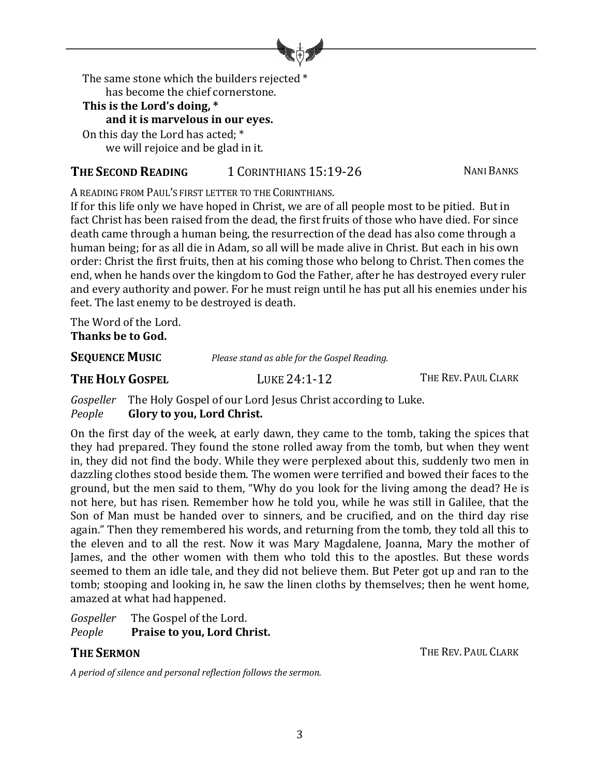

The same stone which the builders rejected \* has become the chief cornerstone.

### This is the Lord's doing, \*

and it is marvelous in our eyes.

On this day the Lord has acted; \* we will rejoice and be glad in it.

# **THE SECOND READING** 1 CORINTHIANS 15:19-26 NANI BANKS

A READING FROM PAUL'S FIRST LETTER TO THE CORINTHIANS.

If for this life only we have hoped in Christ, we are of all people most to be pitied. But in fact Christ has been raised from the dead, the first fruits of those who have died. For since death came through a human being, the resurrection of the dead has also come through a human being; for as all die in Adam, so all will be made alive in Christ. But each in his own order: Christ the first fruits, then at his coming those who belong to Christ. Then comes the end, when he hands over the kingdom to God the Father, after he has destroyed every ruler and every authority and power. For he must reign until he has put all his enemies under his feet. The last enemy to be destroyed is death.

The Word of the Lord. **Thanks be to God.** 

**SEQUENCE MUSIC** *Please stand as able for the Gospel Reading.* 

**THE HOLY GOSPEL** LUKE 24:1-12 THE REV. PAUL CLARK

*Gospeller* The Holy Gospel of our Lord Jesus Christ according to Luke. *People* **Glory to you, Lord Christ.** 

On the first day of the week, at early dawn, they came to the tomb, taking the spices that they had prepared. They found the stone rolled away from the tomb, but when they went in, they did not find the body. While they were perplexed about this, suddenly two men in dazzling clothes stood beside them. The women were terrified and bowed their faces to the ground, but the men said to them, "Why do you look for the living among the dead? He is not here, but has risen. Remember how he told you, while he was still in Galilee, that the Son of Man must be handed over to sinners, and be crucified, and on the third day rise again." Then they remembered his words, and returning from the tomb, they told all this to the eleven and to all the rest. Now it was Mary Magdalene, Joanna, Mary the mother of James, and the other women with them who told this to the apostles. But these words seemed to them an idle tale, and they did not believe them. But Peter got up and ran to the tomb; stooping and looking in, he saw the linen cloths by themselves; then he went home, amazed at what had happened.

*Gospeller* The Gospel of the Lord. **People Praise to you, Lord Christ.** 

*A period of silence and personal reflection follows the sermon.*

**THE SERMON** THE REV. PAUL CLARK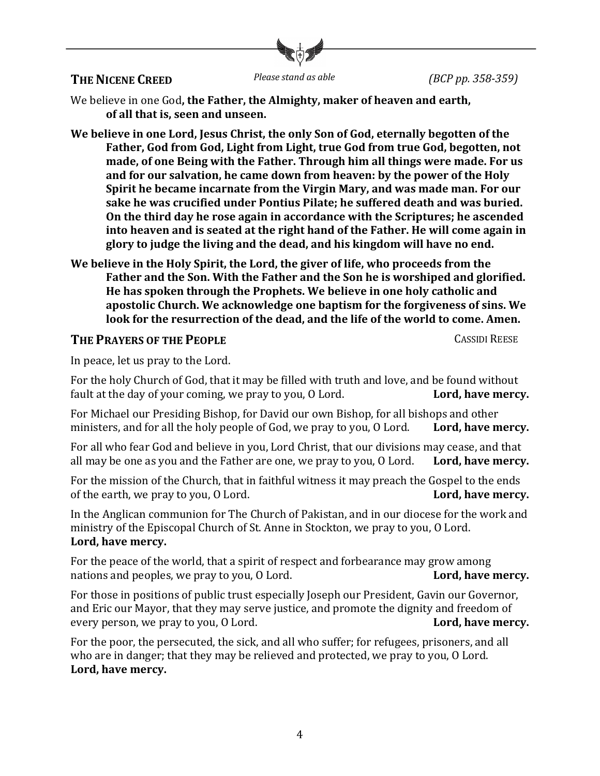

# **THE NICENE CREED** *Please stand as able (BCP pp. 358-359)*

We believe in one God, the Father, the Almighty, maker of heaven and earth, of all that is, seen and unseen.

We believe in one Lord, Jesus Christ, the only Son of God, eternally begotten of the Father, God from God, Light from Light, true God from true God, begotten, not made, of one Being with the Father. Through him all things were made. For us and for our salvation, he came down from heaven: by the power of the Holy **Spirit he became incarnate from the Virgin Mary, and was made man. For our** sake he was crucified under Pontius Pilate; he suffered death and was buried. **On the third day he rose again in accordance with the Scriptures; he ascended** into heaven and is seated at the right hand of the Father. He will come again in glory to judge the living and the dead, and his kingdom will have no end.

We believe in the Holy Spirit, the Lord, the giver of life, who proceeds from the Father and the Son. With the Father and the Son he is worshiped and glorified. He has spoken through the Prophets. We believe in one holy catholic and apostolic Church. We acknowledge one baptism for the forgiveness of sins. We look for the resurrection of the dead, and the life of the world to come. Amen.

### **THE PRAYERS OF THE PEOPLE CASSIDI REESE**

In peace, let us pray to the Lord.

For the holy Church of God, that it may be filled with truth and love, and be found without fault at the day of your coming, we pray to you, O Lord. **Lord, have mercy.** 

For Michael our Presiding Bishop, for David our own Bishop, for all bishops and other ministers, and for all the holy people of God, we pray to you, O Lord. **Lord, have mercy.** 

For all who fear God and believe in you, Lord Christ, that our divisions may cease, and that all may be one as you and the Father are one, we pray to you, O Lord. **Lord, have mercy.** 

For the mission of the Church, that in faithful witness it may preach the Gospel to the ends of the earth, we pray to you, O Lord. **Lord, have mercy. Lord, have mercy.** 

In the Anglican communion for The Church of Pakistan, and in our diocese for the work and ministry of the Episcopal Church of St. Anne in Stockton, we pray to you, O Lord. Lord, have mercy.

For the peace of the world, that a spirit of respect and forbearance may grow among nations and peoples, we pray to you, O Lord. **Lord, have mercy. Lord, have mercy.** 

For those in positions of public trust especially Joseph our President, Gavin our Governor, and Eric our Mayor, that they may serve justice, and promote the dignity and freedom of every person, we pray to you, O Lord. **Lord, have mercy. Lord, have mercy.** 

For the poor, the persecuted, the sick, and all who suffer; for refugees, prisoners, and all who are in danger; that they may be relieved and protected, we pray to you, O Lord. Lord, have mercy.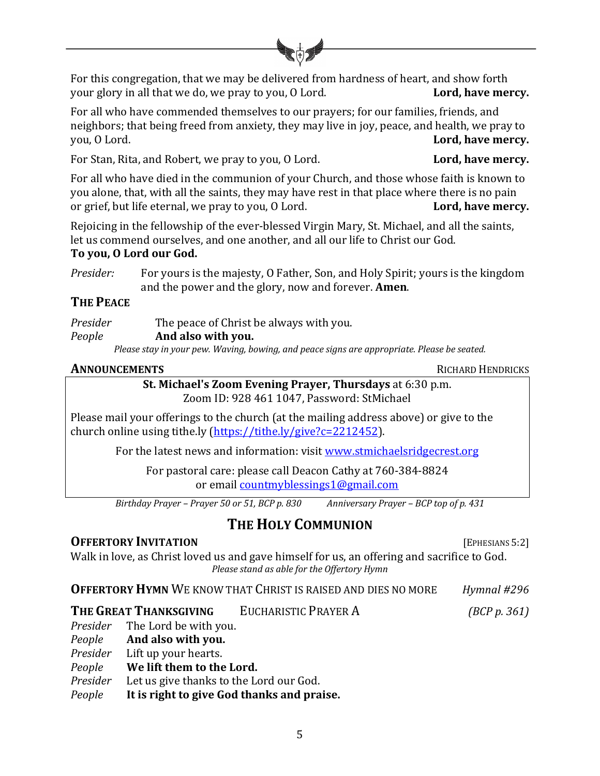

For this congregation, that we may be delivered from hardness of heart, and show forth your glory in all that we do, we pray to you, O Lord. **Lord, have mercy.** 

For all who have commended themselves to our prayers; for our families, friends, and neighbors; that being freed from anxiety, they may live in joy, peace, and health, we pray to you, O Lord. **Lord, have mercy. Lord, have mercy.** 

For Stan, Rita, and Robert, we pray to you, O Lord. **Lord. Lord, have mercy.** 

For all who have died in the communion of your Church, and those whose faith is known to you alone, that, with all the saints, they may have rest in that place where there is no pain or grief, but life eternal, we pray to you, O Lord. **Lord, have mercy.** 

Rejoicing in the fellowship of the ever-blessed Virgin Mary, St. Michael, and all the saints, let us commend ourselves, and one another, and all our life to Christ our God.

## To you, O Lord our God.

*Presider:* For yours is the majesty, O Father, Son, and Holy Spirit; yours is the kingdom and the power and the glory, now and forever. **Amen**.

# **THE PEACE**

| Presider | The peace of Christ be always with you.                                                     |
|----------|---------------------------------------------------------------------------------------------|
| People   | And also with you.                                                                          |
|          | Please stay in your pew. Waving, bowing, and peace signs are appropriate. Please be seated. |

# **ANNOUNCEMENTS** RICHARD HENDRICKS

#### **St. Michael's Zoom Evening Prayer, Thursdays** at 6:30 p.m. Zoom ID: 928 461 1047, Password: StMichael

Please mail your offerings to the church (at the mailing address above) or give to the church online using tithe.ly (https://tithe.ly/give?c=2212452).

For the latest news and information: visit www.stmichaelsridgecrest.org

For pastoral care: please call Deacon Cathy at 760-384-8824 or email **countmyblessings1@gmail.com** 

*Birthday Prayer – Prayer 50 or 51, BCP p. 830 Anniversary Prayer – BCP top of p. 431*

# **THE HOLY COMMUNION**

# **OFFERTORY INVITATION** [EPHESIANS 5:2]

Walk in love, as Christ loved us and gave himself for us, an offering and sacrifice to God. *Please stand as able for the Offertory Hymn*

| <b>OFFERTORY HYMN WE KNOW THAT CHRIST IS RAISED AND DIES NO MORE</b><br>Hymnal #296 |
|-------------------------------------------------------------------------------------|
|-------------------------------------------------------------------------------------|

**THE GREAT THANKSGIVING** EUCHARISTIC PRAYER A *(BCP p. 361)* 

|          | <i>Presider</i> The Lord be with you.      |  |
|----------|--------------------------------------------|--|
| People   | And also with you.                         |  |
| Presider | Lift up your hearts.                       |  |
| People   | We lift them to the Lord.                  |  |
| Presider | Let us give thanks to the Lord our God.    |  |
| People   | It is right to give God thanks and praise. |  |
|          |                                            |  |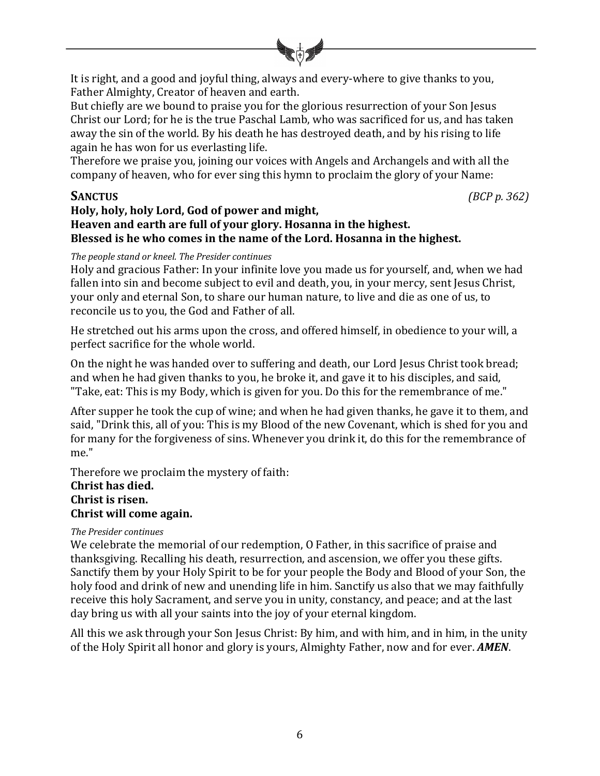

It is right, and a good and joyful thing, always and every-where to give thanks to you, Father Almighty, Creator of heaven and earth.

But chiefly are we bound to praise you for the glorious resurrection of your Son Jesus Christ our Lord; for he is the true Paschal Lamb, who was sacrificed for us, and has taken away the sin of the world. By his death he has destroyed death, and by his rising to life again he has won for us everlasting life.

Therefore we praise you, joining our voices with Angels and Archangels and with all the company of heaven, who for ever sing this hymn to proclaim the glory of your Name:

**SANCTUS** *(BCP p.* 362)

### Holy, holy, holy Lord, God of power and might, Heaven and earth are full of your glory. Hosanna in the highest. Blessed is he who comes in the name of the Lord. Hosanna in the highest.

#### *The people stand or kneel. The Presider continues*

Holy and gracious Father: In your infinite love you made us for yourself, and, when we had fallen into sin and become subject to evil and death, you, in your mercy, sent Jesus Christ, your only and eternal Son, to share our human nature, to live and die as one of us, to reconcile us to you, the God and Father of all.

He stretched out his arms upon the cross, and offered himself, in obedience to your will, a perfect sacrifice for the whole world.

On the night he was handed over to suffering and death, our Lord Jesus Christ took bread; and when he had given thanks to you, he broke it, and gave it to his disciples, and said, "Take, eat: This is my Body, which is given for you. Do this for the remembrance of me."

After supper he took the cup of wine; and when he had given thanks, he gave it to them, and said, "Drink this, all of you: This is my Blood of the new Covenant, which is shed for you and for many for the forgiveness of sins. Whenever you drink it, do this for the remembrance of me."

Therefore we proclaim the mystery of faith: **Christ has died. Christ** is risen. **Christ will come again.** 

#### *The Presider continues*

We celebrate the memorial of our redemption, O Father, in this sacrifice of praise and thanksgiving. Recalling his death, resurrection, and ascension, we offer you these gifts. Sanctify them by your Holy Spirit to be for your people the Body and Blood of your Son, the holy food and drink of new and unending life in him. Sanctify us also that we may faithfully receive this holy Sacrament, and serve you in unity, constancy, and peace; and at the last day bring us with all your saints into the joy of your eternal kingdom.

All this we ask through your Son Jesus Christ: By him, and with him, and in him, in the unity of the Holy Spirit all honor and glory is yours, Almighty Father, now and for ever. **AMEN**.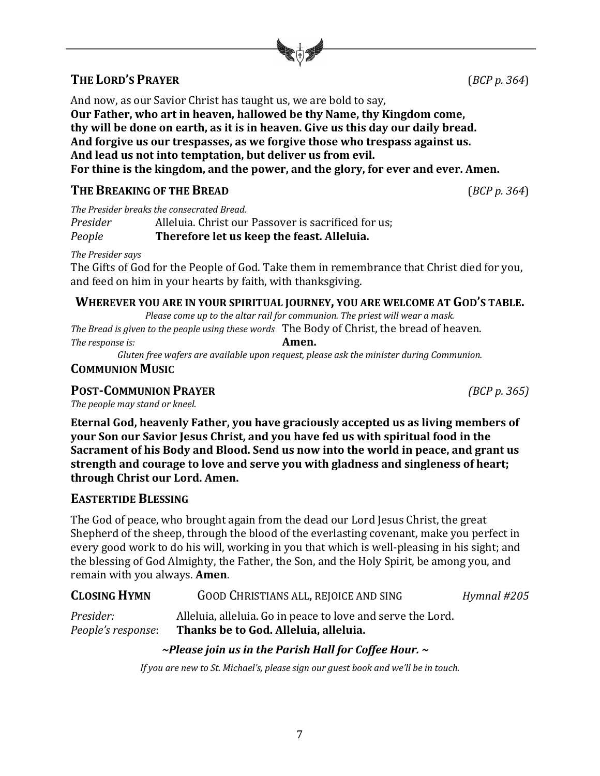# **THE LORD'S PRAYER** (*BCP p.* 364)

And now, as our Savior Christ has taught us, we are bold to say, Our Father, who art in heaven, hallowed be thy Name, thy Kingdom come, thy will be done on earth, as it is in heaven. Give us this day our daily bread. And forgive us our trespasses, as we forgive those who trespass against us. And lead us not into temptation, but deliver us from evil. For thine is the kingdom, and the power, and the glory, for ever and ever. Amen.

# **THE BREAKING OF THE BREAD** (*BCP p.* 364)

The Presider breaks the consecrated Bread.

*Presider* Alleluia. Christ our Passover is sacrificed for us:

## *People* **Therefore let us keep the feast. Alleluia.**

*The Presider says*

The Gifts of God for the People of God. Take them in remembrance that Christ died for you, and feed on him in your hearts by faith, with thanksgiving.

## WHEREVER YOU ARE IN YOUR SPIRITUAL JOURNEY, YOU ARE WELCOME AT GOD'S TABLE.

*Please come up to the altar rail for communion. The priest will wear a mask.* The Bread is given to the people using these words The Body of Christ, the bread of heaven.

*The response is:* **Amen.** 

Gluten free wafers are available upon request, please ask the minister during Communion.

# **COMMUNION MUSIC**

# **POST-COMMUNION PRAYER** *(BCP p. 365)*

The people may stand or kneel.

**Eternal God, heavenly Father, you have graciously accepted us as living members of your Son our Savior Jesus Christ, and you have fed us with spiritual food in the** Sacrament of his Body and Blood. Send us now into the world in peace, and grant us strength and courage to love and serve you with gladness and singleness of heart; through Christ our Lord. Amen.

# **EASTERTIDE BLESSING**

The God of peace, who brought again from the dead our Lord Jesus Christ, the great Shepherd of the sheep, through the blood of the everlasting covenant, make you perfect in every good work to do his will, working in you that which is well-pleasing in his sight; and the blessing of God Almighty, the Father, the Son, and the Holy Spirit, be among you, and remain with you always. **Amen.** 

| <b>CLOSING HYMN</b>             | <b>GOOD CHRISTIANS ALL, REJOICE AND SING</b>                                                         | Hymnal #205 |
|---------------------------------|------------------------------------------------------------------------------------------------------|-------------|
| Presider:<br>People's response: | Alleluia, alleluia. Go in peace to love and serve the Lord.<br>Thanks be to God. Alleluia, alleluia. |             |
|                                 | ~Please join us in the Parish Hall for Coffee Hour. $\sim$                                           |             |

*If you are new to St. Michael's, please sign our guest book and we'll be in touch.*